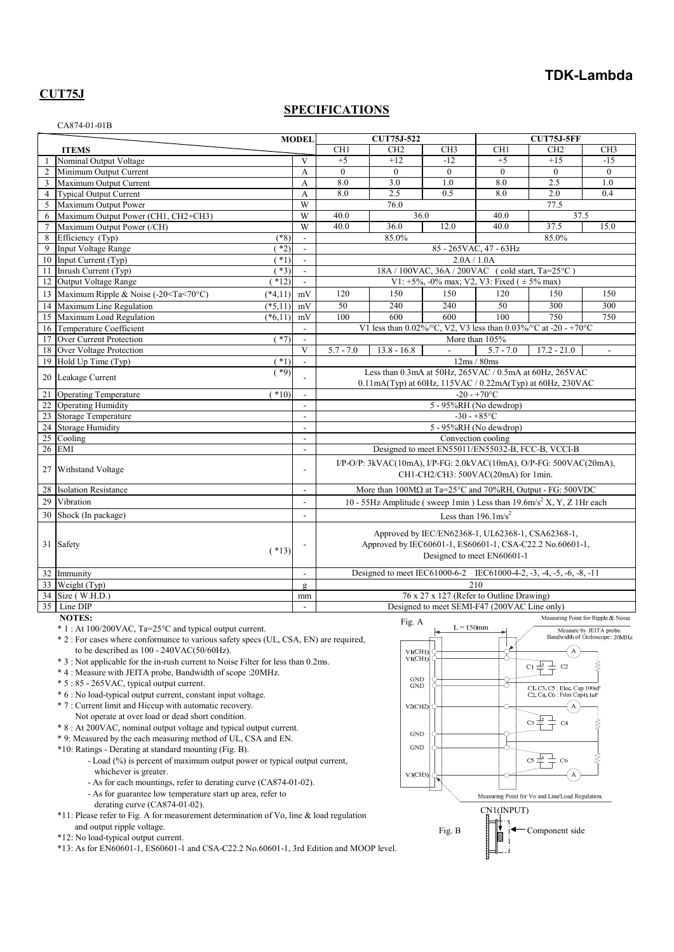# **TDK-Lambda**

# **CUT75J**

### **SPECIFICATIONS**

|                     | CA874-01-01B                                                                                                                                                                                                                                                                                                                                                                                                                                                                                                                                                                                                                                                                                                                                                                                                                                                                                                                                                                                                                                                                                                                                                                                                                                    |                                |                                                                                                                                             |                                                                                                                        |                                                                                 |                               |                                                                                                                                                                                                                                                                            |                                                           |  |  |  |
|---------------------|-------------------------------------------------------------------------------------------------------------------------------------------------------------------------------------------------------------------------------------------------------------------------------------------------------------------------------------------------------------------------------------------------------------------------------------------------------------------------------------------------------------------------------------------------------------------------------------------------------------------------------------------------------------------------------------------------------------------------------------------------------------------------------------------------------------------------------------------------------------------------------------------------------------------------------------------------------------------------------------------------------------------------------------------------------------------------------------------------------------------------------------------------------------------------------------------------------------------------------------------------|--------------------------------|---------------------------------------------------------------------------------------------------------------------------------------------|------------------------------------------------------------------------------------------------------------------------|---------------------------------------------------------------------------------|-------------------------------|----------------------------------------------------------------------------------------------------------------------------------------------------------------------------------------------------------------------------------------------------------------------------|-----------------------------------------------------------|--|--|--|
|                     |                                                                                                                                                                                                                                                                                                                                                                                                                                                                                                                                                                                                                                                                                                                                                                                                                                                                                                                                                                                                                                                                                                                                                                                                                                                 | <b>MODEL</b>                   |                                                                                                                                             | <b>CUT75J-522</b>                                                                                                      |                                                                                 |                               | <b>CUT75J-5FF</b>                                                                                                                                                                                                                                                          |                                                           |  |  |  |
|                     | <b>ITEMS</b>                                                                                                                                                                                                                                                                                                                                                                                                                                                                                                                                                                                                                                                                                                                                                                                                                                                                                                                                                                                                                                                                                                                                                                                                                                    |                                | CH <sub>1</sub>                                                                                                                             | CH <sub>2</sub>                                                                                                        | CH <sub>3</sub>                                                                 | CH1                           | CH <sub>2</sub>                                                                                                                                                                                                                                                            | CH <sub>3</sub>                                           |  |  |  |
| 1                   | Nominal Output Voltage                                                                                                                                                                                                                                                                                                                                                                                                                                                                                                                                                                                                                                                                                                                                                                                                                                                                                                                                                                                                                                                                                                                                                                                                                          | V                              | $+5$<br>$\theta$                                                                                                                            | $+12$<br>$\theta$                                                                                                      | $-12$<br>$\theta$                                                               | $+5$<br>$\Omega$              | $+15$<br>$\theta$                                                                                                                                                                                                                                                          | $-15$<br>$\mathbf{0}$                                     |  |  |  |
| 2<br>$\mathfrak{Z}$ | Minimum Output Current<br>Maximum Output Current                                                                                                                                                                                                                                                                                                                                                                                                                                                                                                                                                                                                                                                                                                                                                                                                                                                                                                                                                                                                                                                                                                                                                                                                | A<br>A                         | 8.0                                                                                                                                         | 3.0                                                                                                                    | 1.0                                                                             | 8.0                           | 2.5                                                                                                                                                                                                                                                                        | 1.0                                                       |  |  |  |
| $\overline{4}$      | Typical Output Current                                                                                                                                                                                                                                                                                                                                                                                                                                                                                                                                                                                                                                                                                                                                                                                                                                                                                                                                                                                                                                                                                                                                                                                                                          | А                              | 8.0                                                                                                                                         | 2.5                                                                                                                    | 0.5                                                                             | 8.0                           | 2.0                                                                                                                                                                                                                                                                        | 0.4                                                       |  |  |  |
| 5                   | Maximum Output Power                                                                                                                                                                                                                                                                                                                                                                                                                                                                                                                                                                                                                                                                                                                                                                                                                                                                                                                                                                                                                                                                                                                                                                                                                            | W                              |                                                                                                                                             | 76.0                                                                                                                   |                                                                                 |                               | 77.5                                                                                                                                                                                                                                                                       |                                                           |  |  |  |
| 6                   | Maximum Output Power (CH1, CH2+CH3)                                                                                                                                                                                                                                                                                                                                                                                                                                                                                                                                                                                                                                                                                                                                                                                                                                                                                                                                                                                                                                                                                                                                                                                                             | W                              | 40.0                                                                                                                                        |                                                                                                                        | 36.0                                                                            | 40.0                          | 37.5                                                                                                                                                                                                                                                                       |                                                           |  |  |  |
| 7                   | Maximum Output Power (/CH)                                                                                                                                                                                                                                                                                                                                                                                                                                                                                                                                                                                                                                                                                                                                                                                                                                                                                                                                                                                                                                                                                                                                                                                                                      | W                              | 40.0                                                                                                                                        | 36.0                                                                                                                   | 12.0                                                                            | 40.0                          | 37.5                                                                                                                                                                                                                                                                       | 15.0                                                      |  |  |  |
| 8                   | Efficiency (Typ)<br>$(*8)$                                                                                                                                                                                                                                                                                                                                                                                                                                                                                                                                                                                                                                                                                                                                                                                                                                                                                                                                                                                                                                                                                                                                                                                                                      | $\Box$                         |                                                                                                                                             | 85.0%                                                                                                                  |                                                                                 |                               | 85.0%                                                                                                                                                                                                                                                                      |                                                           |  |  |  |
| 9                   | Input Voltage Range<br>$*2)$                                                                                                                                                                                                                                                                                                                                                                                                                                                                                                                                                                                                                                                                                                                                                                                                                                                                                                                                                                                                                                                                                                                                                                                                                    | $\sim$                         |                                                                                                                                             |                                                                                                                        |                                                                                 | 85 - 265 VAC, 47 - 63 Hz      |                                                                                                                                                                                                                                                                            |                                                           |  |  |  |
| 10                  | Input Current (Typ)<br>$*1)$                                                                                                                                                                                                                                                                                                                                                                                                                                                                                                                                                                                                                                                                                                                                                                                                                                                                                                                                                                                                                                                                                                                                                                                                                    | $\sim$                         |                                                                                                                                             |                                                                                                                        | 2.0A/1.0A                                                                       |                               |                                                                                                                                                                                                                                                                            |                                                           |  |  |  |
| 11                  | Inrush Current (Typ)<br>$*3)$                                                                                                                                                                                                                                                                                                                                                                                                                                                                                                                                                                                                                                                                                                                                                                                                                                                                                                                                                                                                                                                                                                                                                                                                                   | $\overline{\phantom{a}}$       |                                                                                                                                             |                                                                                                                        | 18A / 100VAC, 36A / 200VAC (cold start, Ta=25°C)                                |                               |                                                                                                                                                                                                                                                                            |                                                           |  |  |  |
|                     | 12 Output Voltage Range<br>$*12)$                                                                                                                                                                                                                                                                                                                                                                                                                                                                                                                                                                                                                                                                                                                                                                                                                                                                                                                                                                                                                                                                                                                                                                                                               | $\sim$                         |                                                                                                                                             |                                                                                                                        | V1: +5%, -0% max; V2, V3: Fixed ( $\pm$ 5% max)                                 |                               |                                                                                                                                                                                                                                                                            |                                                           |  |  |  |
|                     | 13 Maximum Ripple & Noise (-20 <ta<70°c)<br><math>(*4,11)</math></ta<70°c)<br>                                                                                                                                                                                                                                                                                                                                                                                                                                                                                                                                                                                                                                                                                                                                                                                                                                                                                                                                                                                                                                                                                                                                                                  | $\rm mV$                       | 120                                                                                                                                         | 150                                                                                                                    | 150                                                                             | 120                           | 150                                                                                                                                                                                                                                                                        | 150                                                       |  |  |  |
| 14                  | Maximum Line Regulation<br>$(*5,11)$                                                                                                                                                                                                                                                                                                                                                                                                                                                                                                                                                                                                                                                                                                                                                                                                                                                                                                                                                                                                                                                                                                                                                                                                            | mV                             | 50                                                                                                                                          | 240                                                                                                                    | 240                                                                             | 50                            | 300                                                                                                                                                                                                                                                                        | 300                                                       |  |  |  |
| 15                  | Maximum Load Regulation<br>$(*6,11)$                                                                                                                                                                                                                                                                                                                                                                                                                                                                                                                                                                                                                                                                                                                                                                                                                                                                                                                                                                                                                                                                                                                                                                                                            | mV                             | 100                                                                                                                                         | 600                                                                                                                    | 600                                                                             | 100                           | 750                                                                                                                                                                                                                                                                        | 750                                                       |  |  |  |
|                     | 16 Temperature Coefficient                                                                                                                                                                                                                                                                                                                                                                                                                                                                                                                                                                                                                                                                                                                                                                                                                                                                                                                                                                                                                                                                                                                                                                                                                      |                                |                                                                                                                                             |                                                                                                                        | V1 less than $0.02\%$ /°C, V2, V3 less than $0.03\%$ /°C at -20 - +70°C         |                               |                                                                                                                                                                                                                                                                            |                                                           |  |  |  |
| 17                  | Over Current Protection<br>$(*7)$<br>18 Over Voltage Protection                                                                                                                                                                                                                                                                                                                                                                                                                                                                                                                                                                                                                                                                                                                                                                                                                                                                                                                                                                                                                                                                                                                                                                                 | $\mathbf{r}$<br>V              | $5.7 - 7.0$                                                                                                                                 | $13.8 - 16.8$                                                                                                          | $\blacksquare$                                                                  | More than 105%<br>$5.7 - 7.0$ | $17.2 - 21.0$                                                                                                                                                                                                                                                              | $\overline{\phantom{a}}$                                  |  |  |  |
|                     | 19 Hold Up Time (Typ)<br>$*1)$                                                                                                                                                                                                                                                                                                                                                                                                                                                                                                                                                                                                                                                                                                                                                                                                                                                                                                                                                                                                                                                                                                                                                                                                                  |                                |                                                                                                                                             |                                                                                                                        |                                                                                 | 12ms/80ms                     |                                                                                                                                                                                                                                                                            |                                                           |  |  |  |
|                     | $(*9)$                                                                                                                                                                                                                                                                                                                                                                                                                                                                                                                                                                                                                                                                                                                                                                                                                                                                                                                                                                                                                                                                                                                                                                                                                                          |                                |                                                                                                                                             |                                                                                                                        | Less than 0.3mA at 50Hz, 265VAC / 0.5mA at 60Hz, 265VAC                         |                               |                                                                                                                                                                                                                                                                            |                                                           |  |  |  |
|                     | 20 Leakage Current                                                                                                                                                                                                                                                                                                                                                                                                                                                                                                                                                                                                                                                                                                                                                                                                                                                                                                                                                                                                                                                                                                                                                                                                                              |                                |                                                                                                                                             |                                                                                                                        |                                                                                 |                               |                                                                                                                                                                                                                                                                            |                                                           |  |  |  |
| 21                  | $*10$<br><b>Operating Temperature</b>                                                                                                                                                                                                                                                                                                                                                                                                                                                                                                                                                                                                                                                                                                                                                                                                                                                                                                                                                                                                                                                                                                                                                                                                           | $\mathbf{r}$                   |                                                                                                                                             | 0.11mA(Typ) at 60Hz, 115VAC / 0.22mA(Typ) at 60Hz, 230VAC<br>$-20 - +70$ °C                                            |                                                                                 |                               |                                                                                                                                                                                                                                                                            |                                                           |  |  |  |
|                     | 22 Operating Humidity                                                                                                                                                                                                                                                                                                                                                                                                                                                                                                                                                                                                                                                                                                                                                                                                                                                                                                                                                                                                                                                                                                                                                                                                                           | $\overline{\phantom{a}}$       |                                                                                                                                             |                                                                                                                        | 5 - 95%RH (No dewdrop)                                                          |                               |                                                                                                                                                                                                                                                                            |                                                           |  |  |  |
|                     | 23 Storage Temperature                                                                                                                                                                                                                                                                                                                                                                                                                                                                                                                                                                                                                                                                                                                                                                                                                                                                                                                                                                                                                                                                                                                                                                                                                          |                                |                                                                                                                                             |                                                                                                                        |                                                                                 | $-30 - +85$ °C                |                                                                                                                                                                                                                                                                            |                                                           |  |  |  |
|                     | 24 Storage Humidity                                                                                                                                                                                                                                                                                                                                                                                                                                                                                                                                                                                                                                                                                                                                                                                                                                                                                                                                                                                                                                                                                                                                                                                                                             | $\sim$                         |                                                                                                                                             |                                                                                                                        |                                                                                 | 5 - 95%RH (No dewdrop)        |                                                                                                                                                                                                                                                                            |                                                           |  |  |  |
|                     | 25 Cooling                                                                                                                                                                                                                                                                                                                                                                                                                                                                                                                                                                                                                                                                                                                                                                                                                                                                                                                                                                                                                                                                                                                                                                                                                                      | $\blacksquare$                 |                                                                                                                                             |                                                                                                                        | Convection cooling                                                              |                               |                                                                                                                                                                                                                                                                            |                                                           |  |  |  |
|                     | 26 EMI                                                                                                                                                                                                                                                                                                                                                                                                                                                                                                                                                                                                                                                                                                                                                                                                                                                                                                                                                                                                                                                                                                                                                                                                                                          | $\sim$                         |                                                                                                                                             |                                                                                                                        | Designed to meet EN55011/EN55032-B, FCC-B, VCCI-B                               |                               |                                                                                                                                                                                                                                                                            |                                                           |  |  |  |
|                     | 27 Withstand Voltage                                                                                                                                                                                                                                                                                                                                                                                                                                                                                                                                                                                                                                                                                                                                                                                                                                                                                                                                                                                                                                                                                                                                                                                                                            | $\overline{a}$                 | $I/P-O/P$ : 3kVAC(10mA), $I/P$ -FG: 2.0kVAC(10mA), O/P-FG: 500VAC(20mA),<br>CH1-CH2/CH3: 500VAC(20mA) for 1min.                             |                                                                                                                        |                                                                                 |                               |                                                                                                                                                                                                                                                                            |                                                           |  |  |  |
| 28                  | <b>Isolation Resistance</b>                                                                                                                                                                                                                                                                                                                                                                                                                                                                                                                                                                                                                                                                                                                                                                                                                                                                                                                                                                                                                                                                                                                                                                                                                     | $\sim$                         |                                                                                                                                             |                                                                                                                        | More than $100M\Omega$ at Ta=25°C and 70%RH, Output - FG: 500VDC                |                               |                                                                                                                                                                                                                                                                            |                                                           |  |  |  |
| 29                  | Vibration                                                                                                                                                                                                                                                                                                                                                                                                                                                                                                                                                                                                                                                                                                                                                                                                                                                                                                                                                                                                                                                                                                                                                                                                                                       | $\overline{\phantom{a}}$       |                                                                                                                                             |                                                                                                                        | 10 - 55Hz Amplitude (sweep 1min) Less than $19.6 \text{m/s}^2$ X, Y, Z 1Hr each |                               |                                                                                                                                                                                                                                                                            |                                                           |  |  |  |
|                     | 30 Shock (In package)                                                                                                                                                                                                                                                                                                                                                                                                                                                                                                                                                                                                                                                                                                                                                                                                                                                                                                                                                                                                                                                                                                                                                                                                                           | $\overline{a}$                 | Less than $196.1 \text{m/s}^2$                                                                                                              |                                                                                                                        |                                                                                 |                               |                                                                                                                                                                                                                                                                            |                                                           |  |  |  |
|                     | 31 Safety<br>$(*13)$                                                                                                                                                                                                                                                                                                                                                                                                                                                                                                                                                                                                                                                                                                                                                                                                                                                                                                                                                                                                                                                                                                                                                                                                                            |                                | Approved by IEC/EN62368-1, UL62368-1, CSA62368-1,<br>Approved by IEC60601-1, ES60601-1, CSA-C22.2 No.60601-1,<br>Designed to meet EN60601-1 |                                                                                                                        |                                                                                 |                               |                                                                                                                                                                                                                                                                            |                                                           |  |  |  |
|                     | 32 Immunity                                                                                                                                                                                                                                                                                                                                                                                                                                                                                                                                                                                                                                                                                                                                                                                                                                                                                                                                                                                                                                                                                                                                                                                                                                     | $\overline{\phantom{a}}$       |                                                                                                                                             |                                                                                                                        | Designed to meet IEC61000-6-2 IEC61000-4-2, -3, -4, -5, -6, -8, -11             |                               |                                                                                                                                                                                                                                                                            |                                                           |  |  |  |
|                     | 33 Weight (Typ)                                                                                                                                                                                                                                                                                                                                                                                                                                                                                                                                                                                                                                                                                                                                                                                                                                                                                                                                                                                                                                                                                                                                                                                                                                 | $\mathfrak g$                  |                                                                                                                                             |                                                                                                                        |                                                                                 | 210                           |                                                                                                                                                                                                                                                                            |                                                           |  |  |  |
|                     | 34 Size (W.H.D.)<br>35 Line DIP                                                                                                                                                                                                                                                                                                                                                                                                                                                                                                                                                                                                                                                                                                                                                                                                                                                                                                                                                                                                                                                                                                                                                                                                                 | mm<br>$\overline{\phantom{a}}$ | 76 x 27 x 127 (Refer to Outline Drawing)<br>Designed to meet SEMI-F47 (200VAC Line only)                                                    |                                                                                                                        |                                                                                 |                               |                                                                                                                                                                                                                                                                            |                                                           |  |  |  |
|                     | <b>NOTES:</b>                                                                                                                                                                                                                                                                                                                                                                                                                                                                                                                                                                                                                                                                                                                                                                                                                                                                                                                                                                                                                                                                                                                                                                                                                                   |                                |                                                                                                                                             | Fig. A                                                                                                                 | Measuring Point for Ripple & Noise                                              |                               |                                                                                                                                                                                                                                                                            |                                                           |  |  |  |
|                     | $* 1: At 100/200VAC, Ta=25°C$ and typical output current.<br>* 2 : For cases where conformance to various safety specs (UL, CSA, EN) are required,<br>to be described as $100 - 240 \text{VAC}(50/60 \text{Hz})$ .<br>* 3 : Not applicable for the in-rush current to Noise Filter for less than 0.2ms.<br>* 4 : Measure with JEITA probe, Bandwidth of scope : 20MHz.<br>* 5 : 85 - 265VAC, typical output current.<br>* 6 : No load-typical output current, constant input voltage.<br>* 7 : Current limit and Hiccup with automatic recovery.<br>Not operate at over load or dead short condition.<br>* 8 : At 200VAC, nominal output voltage and typical output current.<br>* 9: Measured by the each measuring method of UL, CSA and EN.<br>*10: Ratings - Derating at standard mounting (Fig. B).<br>- Load (%) is percent of maximum output power or typical output current,<br>whichever is greater.<br>- As for each mountings, refer to derating curve (CA874-01-02).<br>- As for guarantee low temperature start up area, refer to<br>derating curve (CA874-01-02).<br>*11: Please refer to Fig. A for measurement determination of Vo, line & load regulation<br>and output ripple voltage.<br>*12: No load-typical output current. |                                |                                                                                                                                             | VI(CH1)<br>ViCHI)<br><b>GND</b><br><b>GND</b><br>$V2$ (CH <sub>2</sub> )<br><b>GND</b><br><b>GND</b><br>$V3$ (CH3) $ $ | $L = 150$ mm<br>Fig. B                                                          | CN1(INPUT)                    | Cl 龙<br>C <sub>2</sub><br>C1, C3, C5 : Elec. Cap 100uF<br>C <sub>2</sub> , C <sub>4</sub> , C <sub>6</sub> : Film Cap 0. luF<br>A<br>$cs \nexists t$<br>C4<br>$cs \frac{\pi i}{2}$<br>C <sub>6</sub><br>Measuring Point for Vo and Line/Load Regulation.<br>Component side | Measure by JEITA probe.<br>Bandwidth of Ociloscope: 20MHz |  |  |  |
|                     | *13: As for EN60601-1, ES60601-1 and CSA-C22.2 No.60601-1, 3rd Edition and MOOP level.                                                                                                                                                                                                                                                                                                                                                                                                                                                                                                                                                                                                                                                                                                                                                                                                                                                                                                                                                                                                                                                                                                                                                          |                                |                                                                                                                                             |                                                                                                                        |                                                                                 |                               |                                                                                                                                                                                                                                                                            |                                                           |  |  |  |